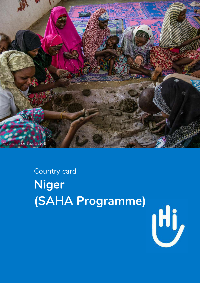

## Country card **Niger (SAHA Programme)**

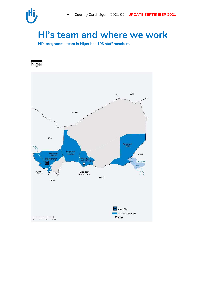

### **HI's team and where we work**

**HI's programme team in Niger has 103 staff members.** 

Niger

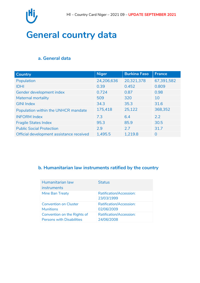

### **General country data**

#### **a. General data**

| <b>Country</b>                           | <b>Niger</b> | <b>Burkina Faso</b> | <b>France</b>  |
|------------------------------------------|--------------|---------------------|----------------|
| Population                               | 24,206,636   | 20,321,378          | 67,391,582     |
| <b>IDHI</b>                              | 0.39         | 0.452               | 0.809          |
| Gender development index                 | 0.724        | 0.87                | 0.98           |
| Maternal mortality                       | 509          | 320                 | 10             |
| <b>GINI Index</b>                        | 34.3         | 35.3                | 31.6           |
| Population within the UNHCR mandate      | 175,418      | 25,122              | 368,352        |
| <b>INFORM Index</b>                      | 7.3          | 6.4                 | 2.2            |
| <b>Fragile States Index</b>              | 95.3         | 85.9                | 30.5           |
| <b>Public Social Protection</b>          | 2.9          | 2.7                 | 31.7           |
| Official development assistance received | 1,495.5      | 1,219.8             | $\overline{0}$ |

#### **b. Humanitarian law instruments ratified by the country**

| Humanitarian law<br><i>instruments</i> | <b>Status</b>                                |
|----------------------------------------|----------------------------------------------|
| Mine Ban Treaty                        | <b>Ratification/Accession:</b><br>23/03/1999 |
| <b>Convention on Cluster</b>           | <b>Ratification/Accession:</b>               |
| <b>Munitions</b>                       | 02/06/2009                                   |
| Convention on the Rights of            | <b>Ratification/Accession:</b>               |
| <b>Persons with Disabilities</b>       | 24/06/2008                                   |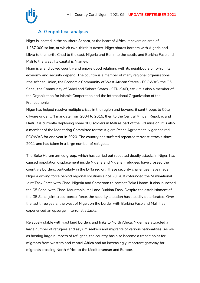

#### **A. Geopolitical analysis**

Niger is located in the southern Sahara, at the heart of Africa. It covers an area of 1,267,000 sq.km, of which two-thirds is desert. Niger shares borders with Algeria and Libya to the north, Chad to the east, Nigeria and Benin to the south, and Burkina Faso and Mali to the west. Its capital is Niamey.

Niger is a landlocked country and enjoys good relations with its neighbours on which its economy and security depend. The country is a member of many regional organisations (the African Union, the Economic Community of West African States - ECOWAS, the G5 Sahel, the Community of Sahel and Sahara States - CEN-SAD, etc.); it is also a member of the Organization for Islamic Cooperation and the International Organization of the Francophonie.

Niger has helped resolve multiple crises in the region and beyond; it sent troops to Côte d'Ivoire under UN mandate from 2004 to 2015, then to the Central African Republic and Haiti. It is currently deploying some 900 soldiers in Mali as part of the UN mission. It is also a member of the Monitoring Committee for the Algiers Peace Agreement. Niger chaired ECOWAS for one year in 2020. The country has suffered repeated terrorist attacks since 2011 and has taken in a large number of refugees.

The Boko Haram armed group, which has carried out repeated deadly attacks in Niger, has caused population displacement inside Nigeria and Nigerian refugees have crossed the country's borders, particularly in the Diffa region. These security challenges have made Niger a driving force behind regional solutions since 2014. It cofounded the Multinational Joint Task Force with Chad, Nigeria and Cameroon to combat Boko Haram. It also launched the G5 Sahel with Chad, Mauritania, Mali and Burkina Faso. Despite the establishment of the G5 Sahel joint cross-border force, the security situation has steadily deteriorated. Over the last three years, the west of Niger, on the border with Burkina Faso and Mali, has experienced an upsurge in terrorist attacks.

Relatively stable with vast land borders and links to North Africa, Niger has attracted a large number of refugees and asylum seekers and migrants of various nationalities. As well as hosting large numbers of refugees, the country has also become a transit point for migrants from western and central Africa and an increasingly important gateway for migrants crossing North Africa to the Mediterranean and Europe.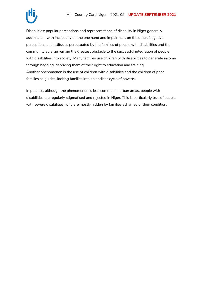

Disabilities: popular perceptions and representations of disability in Niger generally assimilate it with incapacity on the one hand and impairment on the other. Negative perceptions and attitudes perpetuated by the families of people with disabilities and the community at large remain the greatest obstacle to the successful integration of people with disabilities into society. Many families use children with disabilities to generate income through begging, depriving them of their right to education and training. Another phenomenon is the use of children with disabilities and the children of poor families as guides, locking families into an endless cycle of poverty.

In practice, although the phenomenon is less common in urban areas, people with disabilities are regularly stigmatised and rejected in Niger. This is particularly true of people with severe disabilities, who are mostly hidden by families ashamed of their condition.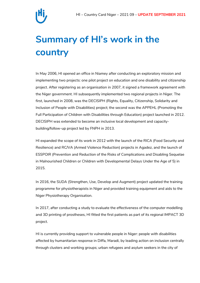

### **Summary of HI's work in the country**

In May 2006, HI opened an office in Niamey after conducting an exploratory mission and implementing two projects: one pilot project on education and one disability and citizenship project. After registering as an organisation in 2007, it signed a framework agreement with the Niger government. HI subsequently implemented two regional projects in Niger. The first, launched in 2008, was the DECISIPH (Rights, Equality, Citizenship, Solidarity and Inclusion of People with Disabilities) project; the second was the APPEHL (Promoting the Full Participation of Children with Disabilities through Education) project launched in 2012. DECISIPH was extended to become an inclusive local development and capacitybuilding/follow-up project led by FNPH in 2013.

HI expanded the scope of its work in 2012 with the launch of the RICA (Food Security and Resilience) and RC/VA (Armed Violence Reduction) projects in Agadez, and the launch of ESSPOIR (Prevention and Reduction of the Risks of Complications and Disabling Sequelae in Malnourished Children or Children with Developmental Delays Under the Age of 5) in 2015.

In 2016, the SUDA (Strengthen, Use, Develop and Augment) project updated the training programme for physiotherapists in Niger and provided training equipment and aids to the Niger Physiotherapy Organisation.

In 2017, after conducting a study to evaluate the effectiveness of the computer modelling and 3D printing of prostheses, HI fitted the first patients as part of its regional IMPACT 3D project.

HI is currently providing support to vulnerable people in Niger: people with disabilities affected by humanitarian response in Diffa, Maradi, by leading action on inclusion centrally through clusters and working groups; urban refugees and asylum seekers in the city of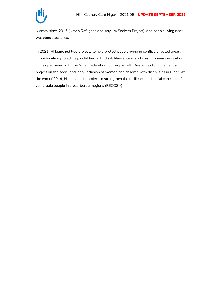

Niamey since 2015 (Urban Refugees and Asylum Seekers Project); and people living near weapons stockpiles.

In 2021, HI launched two projects to help protect people living in conflict-affected areas. HI's education project helps children with disabilities access and stay in primary education. HI has partnered with the Niger Federation for People with Disabilities to implement a project on the social and legal inclusion of women and children with disabilities in Niger. At the end of 2019, HI launched a project to strengthen the resilience and social cohesion of vulnerable people in cross-border regions (RECOSA).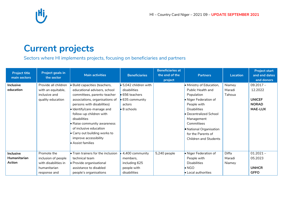

### **Current projects**

Sectors where HI implements projects, focusing on beneficiaries and partners

| <b>Project title</b><br>main sectors       | <b>Project goals in</b><br>the sector                                                      | <b>Main activities</b>                                                                                                                                                                                                                                                                                                                                                        | <b>Beneficiaries</b>                                                                                                                | <b>Beneficiaries at</b><br>the end of the<br>project | <b>Partners</b>                                                                                                                                                                                                                                                 | <b>Location</b>            | <b>Project start</b><br>and end dates<br>and donors                       |
|--------------------------------------------|--------------------------------------------------------------------------------------------|-------------------------------------------------------------------------------------------------------------------------------------------------------------------------------------------------------------------------------------------------------------------------------------------------------------------------------------------------------------------------------|-------------------------------------------------------------------------------------------------------------------------------------|------------------------------------------------------|-----------------------------------------------------------------------------------------------------------------------------------------------------------------------------------------------------------------------------------------------------------------|----------------------------|---------------------------------------------------------------------------|
| <b>Inclusive</b><br>education              | Provide all children<br>with an equitable,<br>inclusive and<br>quality education           | · Build capacities (teachers,<br>educational advisers, school<br>committees, parents-teacher<br>associations, organisations of<br>persons with disabilities)<br>· Identify/care-manage and<br>follow-up children with<br>disabilities<br>• Raise community awareness<br>of inclusive education<br>• Carry out building works to<br>improve accessibility<br>• Assist families | $\bullet$ 5,042 children with<br>disabilities<br>$\bullet$ 656 teachers<br>$\bullet$ 635 community<br>actors<br>$\bullet$ 8 schools |                                                      | • Ministry of Education,<br>Public Health and<br>Population<br>• Niger Federation of<br>People with<br><b>Disabilities</b><br>Decentralized School<br>Management<br>Committees<br>• National Organisation<br>for the Parents of<br><b>Children and Students</b> | Niamey<br>Maradi<br>Tahoua | $09.2017 -$<br>12.2022<br><b>UNICEF</b><br><b>NORAD</b><br><b>MAE-LUX</b> |
| <b>Inclusive</b><br>Humanitarian<br>Action | Promote the<br>inclusion of people<br>with disabilities in<br>humanitarian<br>response and | . Train trainers for the inclusion<br>technical team<br>· Provide organisational<br>assistance to disabled<br>people's organisations                                                                                                                                                                                                                                          | 4,400 community<br>members,<br>including 625<br>people with<br>disabilities                                                         | 5,240 people                                         | · Niger Federation of<br>People with<br><b>Disabilities</b><br>$\bullet$ NGO<br>• Local authorities                                                                                                                                                             | Diffa<br>Maradi<br>Niamey  | $01.2021 -$<br>05.2023<br><b>UNHCR</b><br><b>GFFO</b>                     |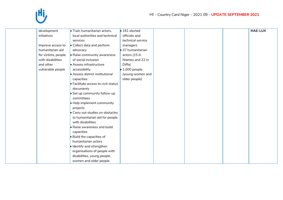

| • Train humanitarian actors,                | $\bullet$ 161 elected  |
|---------------------------------------------|------------------------|
| local authorities and technical             | officials and          |
| services                                    | technical service      |
| • Collect data and perform                  | managers               |
| advocacy                                    | • 37 humanitarian      |
| • Raise community awareness                 | actors (15 in          |
| of social inclusion                         | Niamey and 22 in       |
| • Assess infrastructure                     | Diffa)                 |
| accessibility                               | $\bullet$ 1,000 people |
| • Assess district institutional             | (young women and       |
| capacities                                  | older people)          |
| $\bullet$ Facilitate access to civil-status |                        |
| documents                                   |                        |
| $\bullet$ Set up community follow-up        |                        |
| committees                                  |                        |
| Help implement community                    |                        |
| projects                                    |                        |
| • Carry out studies on obstacles            |                        |
| to humanitarian aid for people              |                        |
| with disabilities                           |                        |
| • Raise awareness and build                 |                        |
| capacities                                  |                        |
| $\bullet$ Build the capacities of           |                        |
| humanitarian actors                         |                        |
| · Identify and strengthen                   |                        |
| organisations of people with                |                        |
| disabilities, young people,                 |                        |
| women and older people                      |                        |
|                                             |                        |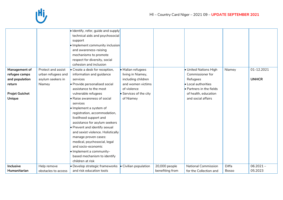

|                       |                     | · Identify, refer, guide and supply |                        |                 |                                  |              |              |
|-----------------------|---------------------|-------------------------------------|------------------------|-----------------|----------------------------------|--------------|--------------|
|                       |                     | technical aids and psychosocial     |                        |                 |                                  |              |              |
|                       |                     | support                             |                        |                 |                                  |              |              |
|                       |                     | • Implement community inclusion     |                        |                 |                                  |              |              |
|                       |                     | and awareness-raising               |                        |                 |                                  |              |              |
|                       |                     | mechanisms to promote               |                        |                 |                                  |              |              |
|                       |                     | respect for diversity, social       |                        |                 |                                  |              |              |
|                       |                     | cohesion and inclusion              |                        |                 |                                  |              |              |
| Management of         | Protect and assist  | · Create a desk for reception,      | · Malian refugees      |                 | · United Nations High            | Niamey       | 01-12.2021   |
| refugee camps         | urban refugees and  | information and guidance            | living in Niamey,      |                 | Commissioner for                 |              |              |
| and population        | asylum seekers in   | services                            | including children     |                 | Refugees                         |              | <b>UNHCR</b> |
| return                | Niamey              | • Provide personalised social       | and women victims      |                 | • Local authorities              |              |              |
|                       |                     | assistance to the most              | of violence            |                 | $\bullet$ Partners in the fields |              |              |
| <b>Projet Guichet</b> |                     | vulnerable refugees                 | • Services of the city |                 | of health, education             |              |              |
| Unique                |                     | • Raise awareness of social         | of Niamey              |                 | and social affairs               |              |              |
|                       |                     | services                            |                        |                 |                                  |              |              |
|                       |                     | · Implement a system of             |                        |                 |                                  |              |              |
|                       |                     | registration, accommodation,        |                        |                 |                                  |              |              |
|                       |                     | livelihood support and              |                        |                 |                                  |              |              |
|                       |                     | assistance for asylum seekers       |                        |                 |                                  |              |              |
|                       |                     | • Prevent and identify sexual       |                        |                 |                                  |              |              |
|                       |                     | and sexist violence. Holistically   |                        |                 |                                  |              |              |
|                       |                     | manage proven cases:                |                        |                 |                                  |              |              |
|                       |                     | medical, psychosocial, legal        |                        |                 |                                  |              |              |
|                       |                     | and socio-economic                  |                        |                 |                                  |              |              |
|                       |                     | • Implement a community-            |                        |                 |                                  |              |              |
|                       |                     | based mechanism to identify         |                        |                 |                                  |              |              |
|                       |                     | children at risk                    |                        |                 |                                  |              |              |
| Inclusive             | Help remove         | • Develop strategic frameworks      | • Civilian population  | 20,000 people   | <b>National Commission</b>       | Diffa        | $06.2021 -$  |
| Humanitarian          | obstacles to access | and risk education tools            |                        | benefiting from | for the Collection and           | <b>Bosso</b> | 05.2023      |
|                       |                     |                                     |                        |                 |                                  |              |              |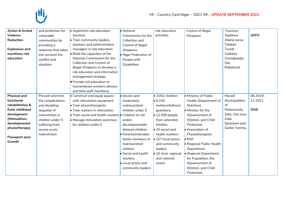# IHi,

| <b>Action &amp; Armed</b><br><b>Violence</b><br><b>Reduction</b><br><b>Explosives and</b><br>munitions risk<br>education                                                 | and protection for<br>vulnerable<br>communities by<br>providing a<br>response that takes<br>into account the<br>conflict and<br>situation.                       | · Implement risk education<br>sessions<br>• Train community leaders,<br>teachers and administrative<br>managers in risk education<br>• Build the capacities of the<br>National Commission for the<br>Collection and Control of<br>Illegal Weapons to develop a<br>risk education and information<br>management strategy<br>· Provide risk education to<br>humanitarian workers (drivers<br>and field staff members) | • National<br>Commission for the<br>Collection and<br>Control of Illegal<br>Weapons<br>• Niger Federation of<br>People with<br><b>Disabilities</b>                                                                                                                  | risk education<br>activities                                                                                                                                                                                                                                                                  | Control of Illegal<br>Weapons                                                                                                                                                                                                                                                                                                               | Toumour<br>Kabléwa<br>Mainé soroa<br>Tillabéri<br>Torodi<br>Gothèye<br>Ourodjaladjo<br>Say<br>Makalondi    | <b>GFFO</b>                          |
|--------------------------------------------------------------------------------------------------------------------------------------------------------------------------|------------------------------------------------------------------------------------------------------------------------------------------------------------------|---------------------------------------------------------------------------------------------------------------------------------------------------------------------------------------------------------------------------------------------------------------------------------------------------------------------------------------------------------------------------------------------------------------------|---------------------------------------------------------------------------------------------------------------------------------------------------------------------------------------------------------------------------------------------------------------------|-----------------------------------------------------------------------------------------------------------------------------------------------------------------------------------------------------------------------------------------------------------------------------------------------|---------------------------------------------------------------------------------------------------------------------------------------------------------------------------------------------------------------------------------------------------------------------------------------------------------------------------------------------|------------------------------------------------------------------------------------------------------------|--------------------------------------|
| <b>Physical and</b><br>functional<br>rehabilitation &<br>Early childhood<br>development<br>(Stimulation,<br>developmental<br>physiotherapy)<br>Passeport pour<br>Grandir | Prevent and limit<br>the complications<br>and disabling<br>sequelae of<br>malnutrition in<br>children under 5<br>suffering from<br>severe acute<br>malnutrition. | • Construct and equip spaces<br>with stimulation equipment<br>• Train physiotherapists<br>• Train trainers in stimulation<br>• Train social and health workers • Children at risk<br>• Manage stimulation exercises<br>for children under 5                                                                                                                                                                         | • Severe and<br>moderately<br>malnourished<br>children under 5<br>and/or<br>developmentally<br>delayed children<br>· Parents/extended<br>family members of<br>malnourished<br>children<br>· Social and health<br>workers<br>• Local actors and<br>community leaders | $\bullet$ 3,052 children<br>$\bullet$ 6,104<br>mothers/fathers/<br>guardians<br>$\bullet$ 12,208 people<br>from extended<br>families<br>$\bullet$ 25 social and<br>health workers<br>$\bullet$ 107 local actors<br>and community<br>leaders<br>· 16 local, regional<br>and national<br>actors | • Ministry of Public<br>Health (Department of<br>Nutrition)<br>• Ministry for the<br>Advancement of<br>Women, and Child<br>Protection<br>Association of<br>Physiotherapists<br>$\bullet$ MSF<br>• Regional Public Health<br>Department<br>• Regional Department<br>for Population, the<br>Advancement of<br>Women, and Child<br>Protection. | Maradi<br>Municipalities<br>of<br>Madarounfa,<br>Safo, Dan Issa,<br>Gabi,<br>Djiratawa and<br>Sarkin Yamma | $06.2019 -$<br>11.2021<br><b>DGD</b> |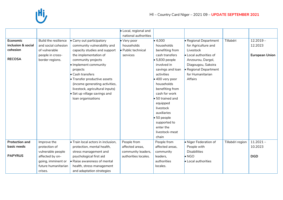|                                                             |                                                                                                     |                                                                                                                                                                                                                                                                                                                                                             | · Local, regional and<br>national authorities               |                                                                                                                                                                                                                                                                                                                                                   |                                                                                                                                                                                             |                  |                                                 |
|-------------------------------------------------------------|-----------------------------------------------------------------------------------------------------|-------------------------------------------------------------------------------------------------------------------------------------------------------------------------------------------------------------------------------------------------------------------------------------------------------------------------------------------------------------|-------------------------------------------------------------|---------------------------------------------------------------------------------------------------------------------------------------------------------------------------------------------------------------------------------------------------------------------------------------------------------------------------------------------------|---------------------------------------------------------------------------------------------------------------------------------------------------------------------------------------------|------------------|-------------------------------------------------|
| Economic<br>inclusion & social<br>cohesion<br><b>RECOSA</b> | Build the resilience<br>and social cohesion<br>of vulnerable<br>people in cross-<br>border regions. | • Carry out participatory<br>community vulnerability and<br>capacity studies and support<br>the implementation of<br>community projects<br>· Implement community<br>projects<br>• Cash transfers<br>• Transfer productive assets<br>(income generating activities,<br>livestock, agricultural inputs)<br>• Set up village savings and<br>loan organisations | • Very poor<br>households<br>· Public technical<br>services | $\bullet$ 4,000<br>households<br>benefiting from<br>cash transfers<br>$\bullet$ 5,830 people<br>involved in<br>savings and loan<br>activities<br>• 400 very poor<br>households<br>benefiting from<br>cash for work<br>50 trained and<br>equipped<br>livestock<br>auxiliaries<br>50 people<br>supported to<br>enter the<br>livestock-meat<br>chain | · Regional Department<br>for Agriculture and<br>Livestock<br>• Local authorities of<br>Anzourou, Dargol,<br>Diagougou, Sakoira<br>Regional Department<br>for Humanitarian<br><b>Affairs</b> | Tillabéri        | $12.2019 -$<br>12.2023<br><b>European Union</b> |
| <b>Protection and</b>                                       | Improve the                                                                                         | • Train local actors in inclusion,                                                                                                                                                                                                                                                                                                                          | People from                                                 | People from                                                                                                                                                                                                                                                                                                                                       | · Niger Federation of                                                                                                                                                                       | Tillabéri region | $11.2021 -$                                     |
| basic needs                                                 | protection of                                                                                       | protection, mental health,                                                                                                                                                                                                                                                                                                                                  | affected areas,                                             | affected areas.                                                                                                                                                                                                                                                                                                                                   | People with<br><b>Disabilities</b>                                                                                                                                                          |                  | 10.2023                                         |
| <b>PAPYRUS</b>                                              | vulnerable people<br>affected by on-<br>going, imminent or<br>future humanitarian                   | stress management and<br>psychological first aid<br>$\bullet$ Raise awareness of mental<br>health, stress management                                                                                                                                                                                                                                        | community leaders,<br>authorities locales.                  | community<br>leaders,<br>authorities<br>locales.                                                                                                                                                                                                                                                                                                  | $\bullet$ NGO<br>• Local authorities                                                                                                                                                        |                  | <b>DGD</b>                                      |
|                                                             | crises.                                                                                             | and adaptation strategies                                                                                                                                                                                                                                                                                                                                   |                                                             |                                                                                                                                                                                                                                                                                                                                                   |                                                                                                                                                                                             |                  |                                                 |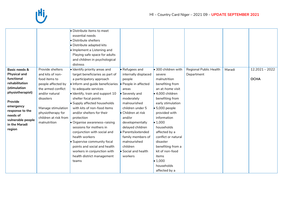

|                                    |                       | • Distribute items to meet               |                      |                             |                        |        |                  |
|------------------------------------|-----------------------|------------------------------------------|----------------------|-----------------------------|------------------------|--------|------------------|
|                                    |                       | essential needs                          |                      |                             |                        |        |                  |
|                                    |                       | • Distribute shelters                    |                      |                             |                        |        |                  |
|                                    |                       | • Distribute adapted kits                |                      |                             |                        |        |                  |
|                                    |                       | Io Implement a Listening and             |                      |                             |                        |        |                  |
|                                    |                       | Playing safe space for adults            |                      |                             |                        |        |                  |
|                                    |                       | and children in psychological            |                      |                             |                        |        |                  |
|                                    |                       | distress                                 |                      |                             |                        |        |                  |
| Basic needs &                      | Provide shelters      | · Identify priority areas and            | • Refugees and       | $\bullet$ 300 children with | Regional Public Health | Maradi | $12.2021 - 2022$ |
| <b>Physical and</b>                | and kits of non-      | target beneficiaries as part of          | internally displaced | severe                      | Department             |        |                  |
| functional                         | food items to         | a participatory approach                 | people               | malnutrition                |                        |        | <b>OCHA</b>      |
| rehabilitation                     | people affected by    | . Inform and guide beneficiaries         | People in affected   | benefiting from             |                        |        |                  |
| (stimulation                       | the armed conflict    | to adequate services                     | areas                | an at-home visit            |                        |        |                  |
| physiotherapist)                   | and/or natural        | $\bullet$ Identify, train and support 10 | Severely and         | $\bullet$ 4,000 children    |                        |        |                  |
|                                    | disasters             | shelter focal points                     | moderately           | benefiting from             |                        |        |                  |
| Provide                            |                       | • Supply affected households             | malnourished         | early stimulation           |                        |        |                  |
| emergency                          | Manage stimulation    | with kits of non-food items              | children under 5     | $\bullet$ 5,000 people      |                        |        |                  |
| response to the                    | physiotherapy for     | and/or shelters for their                | Children at risk     | provided with               |                        |        |                  |
| needs of                           | children at risk from | protection                               | and/or               | information                 |                        |        |                  |
| vulnerable people<br>in the Maradi | malnutrition          | • Organise awareness-raising             | developmentally      | $\bullet$ 1,000             |                        |        |                  |
| region                             |                       | sessions for mothers in                  | delayed children     | households                  |                        |        |                  |
|                                    |                       | conjunction with social and              | · Parents/extended   | affected by a               |                        |        |                  |
|                                    |                       | health workers                           | family members of    | conflict or natural         |                        |        |                  |
|                                    |                       | • Supervise community focal              | malnourished         | disaster                    |                        |        |                  |
|                                    |                       | points and social and health             | children             | benefiting from a           |                        |        |                  |
|                                    |                       | workers in conjunction with              | Social and health    | kit of non-food             |                        |        |                  |
|                                    |                       | health district management               | workers              | items                       |                        |        |                  |
|                                    |                       | teams                                    |                      | $\bullet$ 1,000             |                        |        |                  |
|                                    |                       |                                          |                      | households                  |                        |        |                  |
|                                    |                       |                                          |                      | affected by a               |                        |        |                  |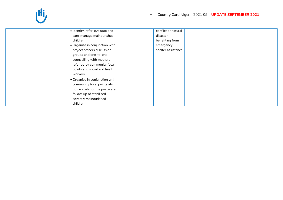| · Identify, refer, evaluate and | conflict or natural |  |
|---------------------------------|---------------------|--|
| care-manage malnourished        | disaster            |  |
| children                        | benefiting from     |  |
| • Organise in conjunction with  | emergency           |  |
| project officers discussion     | shelter assistance  |  |
| groups and one-to-one           |                     |  |
| counselling with mothers        |                     |  |
| referred by community focal     |                     |  |
| points and social and health    |                     |  |
| workers                         |                     |  |
| Organise in conjunction with    |                     |  |
| community focal points at-      |                     |  |
| home visits for the post-care   |                     |  |
| follow-up of stabilised         |                     |  |
| severely malnourished           |                     |  |
| children                        |                     |  |
|                                 |                     |  |